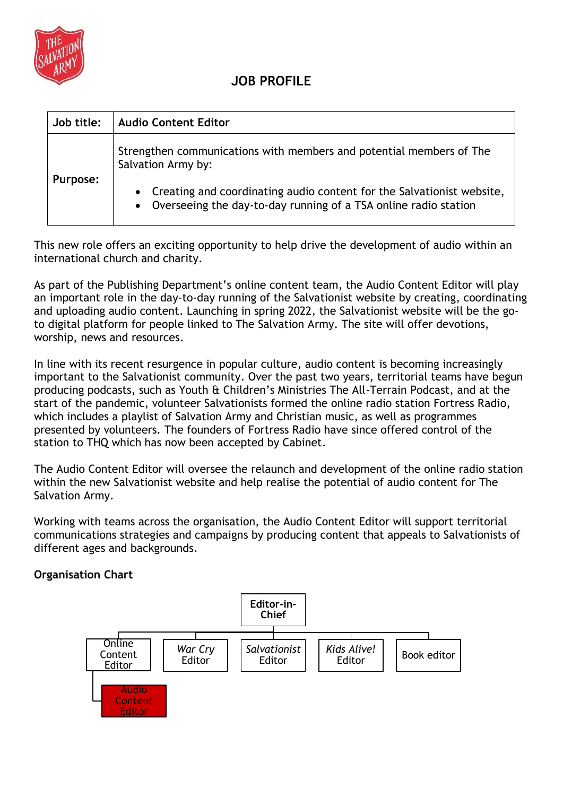

| Job title: | <b>Audio Content Editor</b>                                                                                                                  |
|------------|----------------------------------------------------------------------------------------------------------------------------------------------|
| Purpose:   | Strengthen communications with members and potential members of The<br>Salvation Army by:                                                    |
|            | • Creating and coordinating audio content for the Salvationist website,<br>• Overseeing the day-to-day running of a TSA online radio station |

This new role offers an exciting opportunity to help drive the development of audio within an international church and charity.

As part of the Publishing Department's online content team, the Audio Content Editor will play an important role in the day-to-day running of the Salvationist website by creating, coordinating and uploading audio content. Launching in spring 2022, the Salvationist website will be the goto digital platform for people linked to The Salvation Army. The site will offer devotions, worship, news and resources.

In line with its recent resurgence in popular culture, audio content is becoming increasingly important to the Salvationist community. Over the past two years, territorial teams have begun producing podcasts, such as Youth & Children's Ministries The All-Terrain Podcast, and at the start of the pandemic, volunteer Salvationists formed the online radio station Fortress Radio, which includes a playlist of Salvation Army and Christian music, as well as programmes presented by volunteers. The founders of Fortress Radio have since offered control of the station to THQ which has now been accepted by Cabinet.

The Audio Content Editor will oversee the relaunch and development of the online radio station within the new Salvationist website and help realise the potential of audio content for The Salvation Army.

Working with teams across the organisation, the Audio Content Editor will support territorial communications strategies and campaigns by producing content that appeals to Salvationists of different ages and backgrounds.

## **Organisation Chart**

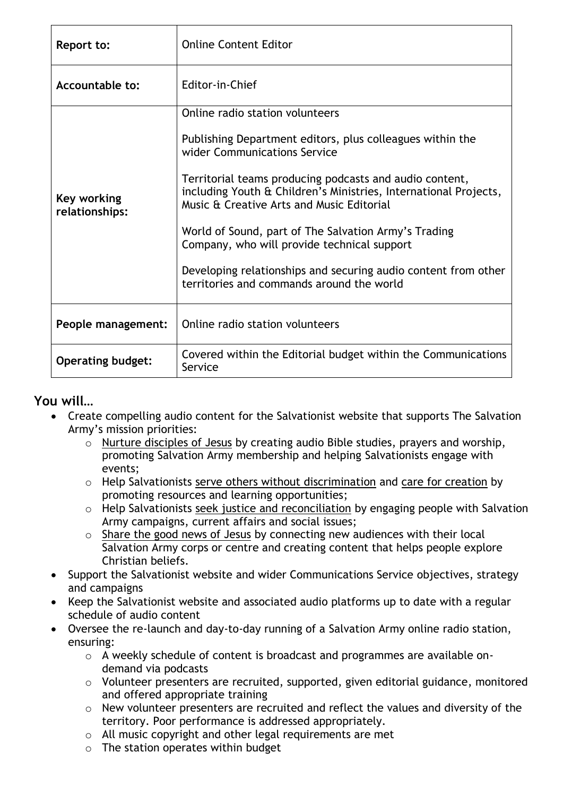| Report to:                    | <b>Online Content Editor</b>                                                                                                                                                                                                                                                                                                                                                                                                                                                                                                   |
|-------------------------------|--------------------------------------------------------------------------------------------------------------------------------------------------------------------------------------------------------------------------------------------------------------------------------------------------------------------------------------------------------------------------------------------------------------------------------------------------------------------------------------------------------------------------------|
| <b>Accountable to:</b>        | Editor-in-Chief                                                                                                                                                                                                                                                                                                                                                                                                                                                                                                                |
| Key working<br>relationships: | Online radio station volunteers<br>Publishing Department editors, plus colleagues within the<br>wider Communications Service<br>Territorial teams producing podcasts and audio content,<br>including Youth & Children's Ministries, International Projects,<br>Music & Creative Arts and Music Editorial<br>World of Sound, part of The Salvation Army's Trading<br>Company, who will provide technical support<br>Developing relationships and securing audio content from other<br>territories and commands around the world |
| People management:            | Online radio station volunteers                                                                                                                                                                                                                                                                                                                                                                                                                                                                                                |
| <b>Operating budget:</b>      | Covered within the Editorial budget within the Communications<br>Service                                                                                                                                                                                                                                                                                                                                                                                                                                                       |

#### **You will…**

- Create compelling audio content for the Salvationist website that supports The Salvation Army's mission priorities:
	- o Nurture disciples of Jesus by creating audio Bible studies, prayers and worship, promoting Salvation Army membership and helping Salvationists engage with events;
	- o Help Salvationists serve others without discrimination and care for creation by promoting resources and learning opportunities;
	- o Help Salvationists seek justice and reconciliation by engaging people with Salvation Army campaigns, current affairs and social issues;
	- o Share the good news of Jesus by connecting new audiences with their local Salvation Army corps or centre and creating content that helps people explore Christian beliefs.
- Support the Salvationist website and wider Communications Service objectives, strategy and campaigns
- Keep the Salvationist website and associated audio platforms up to date with a regular schedule of audio content
- Oversee the re-launch and day-to-day running of a Salvation Army online radio station, ensuring:
	- o A weekly schedule of content is broadcast and programmes are available ondemand via podcasts
	- $\circ$  Volunteer presenters are recruited, supported, given editorial guidance, monitored and offered appropriate training
	- o New volunteer presenters are recruited and reflect the values and diversity of the territory. Poor performance is addressed appropriately.
	- o All music copyright and other legal requirements are met
	- o The station operates within budget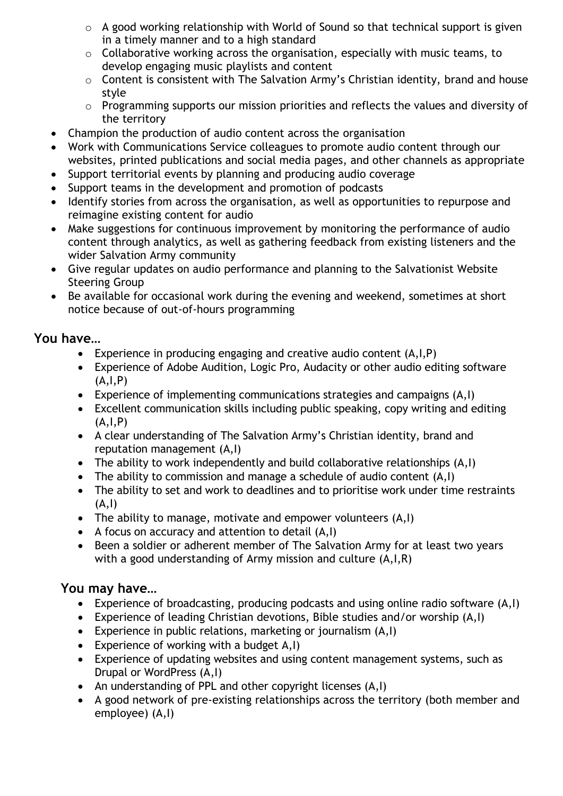- $\circ$  A good working relationship with World of Sound so that technical support is given in a timely manner and to a high standard
- o Collaborative working across the organisation, especially with music teams, to develop engaging music playlists and content
- o Content is consistent with The Salvation Army's Christian identity, brand and house style
- o Programming supports our mission priorities and reflects the values and diversity of the territory
- Champion the production of audio content across the organisation
- Work with Communications Service colleagues to promote audio content through our websites, printed publications and social media pages, and other channels as appropriate
- Support territorial events by planning and producing audio coverage
- Support teams in the development and promotion of podcasts
- Identify stories from across the organisation, as well as opportunities to repurpose and reimagine existing content for audio
- Make suggestions for continuous improvement by monitoring the performance of audio content through analytics, as well as gathering feedback from existing listeners and the wider Salvation Army community
- Give regular updates on audio performance and planning to the Salvationist Website Steering Group
- Be available for occasional work during the evening and weekend, sometimes at short notice because of out-of-hours programming

# **You have…**

- Experience in producing engaging and creative audio content (A,I,P)
- Experience of Adobe Audition, Logic Pro, Audacity or other audio editing software  $(A, I, P)$
- Experience of implementing communications strategies and campaigns (A,I)
- Excellent communication skills including public speaking, copy writing and editing  $(A, I, P)$
- A clear understanding of The Salvation Army's Christian identity, brand and reputation management (A,I)
- The ability to work independently and build collaborative relationships (A,I)
- The ability to commission and manage a schedule of audio content (A,I)
- The ability to set and work to deadlines and to prioritise work under time restraints  $(A, I)$
- The ability to manage, motivate and empower volunteers (A,I)
- A focus on accuracy and attention to detail (A,I)
- Been a soldier or adherent member of The Salvation Army for at least two years with a good understanding of Army mission and culture (A,I,R)

# **You may have…**

- Experience of broadcasting, producing podcasts and using online radio software (A,I)
- Experience of leading Christian devotions, Bible studies and/or worship (A,I)
- Experience in public relations, marketing or journalism (A,I)
- Experience of working with a budget A,I)
- Experience of updating websites and using content management systems, such as Drupal or WordPress (A,I)
- An understanding of PPL and other copyright licenses (A,I)
- A good network of pre-existing relationships across the territory (both member and employee) (A,I)